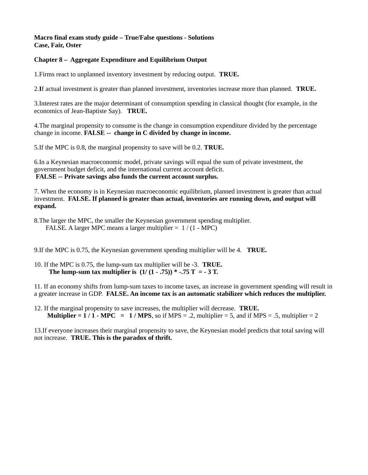#### **Macro final exam study guide – True/False questions - Solutions Case, Fair, Oster**

# **Chapter 8 – Aggregate Expenditure and Equilibrium Output**

1.Firms react to unplanned inventory investment by reducing output. **TRUE.**

2.**I**f actual investment is greater than planned investment, inventories increase more than planned. **TRUE.**

3.Interest rates are the major determinant of consumption spending in classical thought (for example, in the economics of Jean-Baptiste Say). **TRUE.**

4.The marginal propensity to consume is the change in consumption expenditure divided by the percentage change in income. **FALSE -- change in C divided by change in income.**

5.If the MPC is 0.8, the marginal propensity to save will be 0.2. **TRUE.**

6.In a Keynesian macroeconomic model, private savings will equal the sum of private investment, the government budget deficit, and the international current account deficit.  **FALSE -- Private savings also funds the current account surplus.**

7. When the economy is in Keynesian macroeconomic equilibrium, planned investment is greater than actual investment. **FALSE. If planned is greater than actual, inventories are running down, and output will expand.**

8.The larger the MPC, the smaller the Keynesian government spending multiplier. FALSE. A larger MPC means a larger multiplier = 1 / (1 - MPC)

9.If the MPC is 0.75, the Keynesian government spending multiplier will be 4. **TRUE.**

10. If the MPC is 0.75, the lump-sum tax multiplier will be -3. **TRUE. The lump-sum tax multiplier is**  $(1/(1 - .75))$  **\* -.75 T = - 3 T.** 

11. If an economy shifts from lump-sum taxes to income taxes, an increase in government spending will result in a greater increase in GDP. **FALSE. An income tax is an automatic stabilizer which reduces the multiplier.**

12. If the marginal propensity to save increases, the multiplier will decrease. **TRUE. Multiplier = 1 / 1 - MPC = 1 / MPS**, so if MPS = .2, multiplier = 5, and if MPS = .5, multiplier = 2

13.If everyone increases their marginal propensity to save, the Keynesian model predicts that total saving will not increase. **TRUE. This is the paradox of thrift.**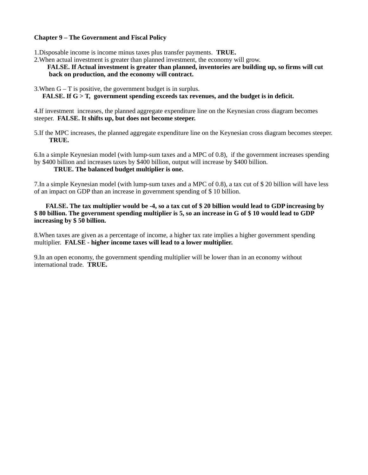# **Chapter 9 – The Government and Fiscal Policy**

1.Disposable income is income minus taxes plus transfer payments. **TRUE.**

2.When actual investment is greater than planned investment, the economy will grow.

### **FALSE. If Actual investment is greater than planned, inventories are building up, so firms will cut back on production, and the economy will contract.**

3. When  $G - T$  is positive, the government budget is in surplus.

#### **FALSE. If G > T, government spending exceeds tax revenues, and the budget is in deficit.**

4.If investment increases, the planned aggregate expenditure line on the Keynesian cross diagram becomes steeper. **FALSE. It shifts up, but does not become steeper.**

5.If the MPC increases, the planned aggregate expenditure line on the Keynesian cross diagram becomes steeper. **TRUE.**

6.In a simple Keynesian model (with lump-sum taxes and a MPC of 0.8), if the government increases spending by \$400 billion and increases taxes by \$400 billion, output will increase by \$400 billion.

#### **TRUE. The balanced budget multiplier is one.**

7.In a simple Keynesian model (with lump-sum taxes and a MPC of 0.8), a tax cut of \$ 20 billion will have less of an impact on GDP than an increase in government spending of \$ 10 billion.

 **FALSE. The tax multiplier would be -4, so a tax cut of \$ 20 billion would lead to GDP increasing by \$ 80 billion. The government spending multiplier is 5, so an increase in G of \$ 10 would lead to GDP increasing by \$ 50 billion.**

8.When taxes are given as a percentage of income, a higher tax rate implies a higher government spending multiplier. **FALSE - higher income taxes will lead to a lower multiplier.**

9.In an open economy, the government spending multiplier will be lower than in an economy without international trade. **TRUE.**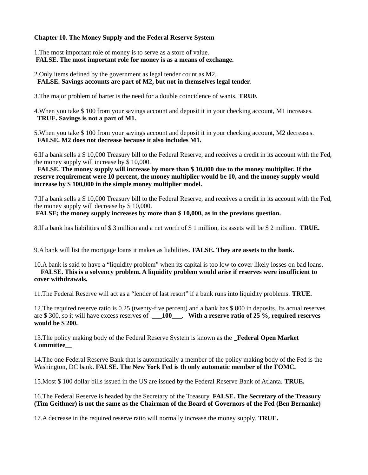# **Chapter 10. The Money Supply and the Federal Reserve System**

1.The most important role of money is to serve as a store of value.  **FALSE. The most important role for money is as a means of exchange.**

2.Only items defined by the government as legal tender count as M2.  **FALSE. Savings accounts are part of M2, but not in themselves legal tender.**

3.The major problem of barter is the need for a double coincidence of wants. **TRUE**

4.When you take \$ 100 from your savings account and deposit it in your checking account, M1 increases.  **TRUE. Savings is not a part of M1.** 

5.When you take \$ 100 from your savings account and deposit it in your checking account, M2 decreases.  **FALSE. M2 does not decrease because it also includes M1.**

6.If a bank sells a \$ 10,000 Treasury bill to the Federal Reserve, and receives a credit in its account with the Fed, the money supply will increase by  $\frac{2}{3}$  10,000.

 **FALSE. The money supply will increase by more than \$ 10,000 due to the money multiplier. If the reserve requirement were 10 percent, the money multiplier would be 10, and the money supply would increase by \$ 100,000 in the simple money multiplier model.**

7.If a bank sells a \$ 10,000 Treasury bill to the Federal Reserve, and receives a credit in its account with the Fed, the money supply will decrease by \$ 10,000.

 **FALSE; the money supply increases by more than \$ 10,000, as in the previous question.**

8.If a bank has liabilities of \$ 3 million and a net worth of \$ 1 million, its assets will be \$ 2 million. **TRUE.**

9.A bank will list the mortgage loans it makes as liabilities. **FALSE. They are assets to the bank.**

#### 10.A bank is said to have a "liquidity problem" when its capital is too low to cover likely losses on bad loans.  **FALSE. This is a solvency problem. A liquidity problem would arise if reserves were insufficient to cover withdrawals.**

11.The Federal Reserve will act as a "lender of last resort" if a bank runs into liquidity problems. **TRUE.**

12.The required reserve ratio is 0.25 (twenty-five percent) and a bank has \$ 800 in deposits. Its actual reserves are \$ 300, so it will have excess reserves of **\_\_\_100\_\_\_. With a reserve ratio of 25 %, required reserves would be \$ 200.**

13.The policy making body of the Federal Reserve System is known as the **\_Federal Open Market Committee\_\_**

14.The one Federal Reserve Bank that is automatically a member of the policy making body of the Fed is the Washington, DC bank. **FALSE. The New York Fed is th only automatic member of the FOMC.**

15.Most \$ 100 dollar bills issued in the US are issued by the Federal Reserve Bank of Atlanta. **TRUE.**

16.The Federal Reserve is headed by the Secretary of the Treasury. **FALSE. The Secretary of the Treasury (Tim Geithner) is not the same as the Chairman of the Board of Governors of the Fed (Ben Bernanke)**

17.A decrease in the required reserve ratio will normally increase the money supply. **TRUE.**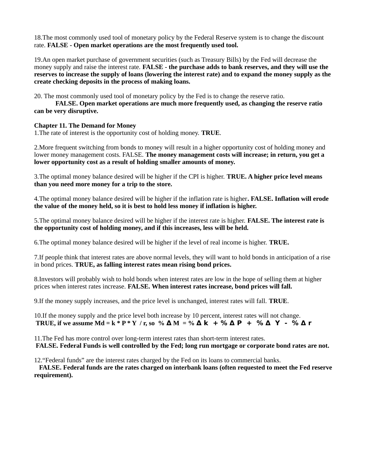18.The most commonly used tool of monetary policy by the Federal Reserve system is to change the discount rate. **FALSE - Open market operations are the most frequently used tool.**

19.An open market purchase of government securities (such as Treasury Bills) by the Fed will decrease the money supply and raise the interest rate. **FALSE - the purchase adds to bank reserves, and they will use the reserves to increase the supply of loans (lowering the interest rate) and to expand the money supply as the create checking deposits in the process of making loans.**

20. The most commonly used tool of monetary policy by the Fed is to change the reserve ratio.

**FALSE. Open market operations are much more frequently used, as changing the reserve ratio can be very disruptive.**

### **Chapter 11. The Demand for Money**

1.The rate of interest is the opportunity cost of holding money. **TRUE**.

2.More frequent switching from bonds to money will result in a higher opportunity cost of holding money and lower money management costs. FALSE. **The money management costs will increase; in return, you get a lower opportunity cost as a result of holding smaller amounts of money.**

3.The optimal money balance desired will be higher if the CPI is higher. **TRUE. A higher price level means than you need more money for a trip to the store.**

4.The optimal money balance desired will be higher if the inflation rate is higher**. FALSE. Inflation will erode the value of the money held, so it is best to hold less money if inflation is higher.**

5.The optimal money balance desired will be higher if the interest rate is higher. **FALSE. The interest rate is the opportunity cost of holding money, and if this increases, less will be held.**

6.The optimal money balance desired will be higher if the level of real income is higher. **TRUE.**

7.If people think that interest rates are above normal levels, they will want to hold bonds in anticipation of a rise in bond prices. **TRUE, as falling interest rates mean rising bond prices.**

8.Investors will probably wish to hold bonds when interest rates are low in the hope of selling them at higher prices when interest rates increase. **FALSE. When interest rates increase, bond prices will fall.**

9.If the money supply increases, and the price level is unchanged, interest rates will fall. **TRUE**.

10.If the money supply and the price level both increase by 10 percent, interest rates will not change. **TRUE, if we assume Md = k \* P \* Y** / r, so %  $\mathbf{A}$  M = %  $\mathbf{A}$  k + %  $\mathbf{A}$  P + %  $\mathbf{A}$  Y - %  $\mathbf{A}$  r

11.The Fed has more control over long-term interest rates than short-term interest rates.  **FALSE. Federal Funds is well controlled by the Fed; long run mortgage or corporate bond rates are not.**

12."Federal funds" are the interest rates charged by the Fed on its loans to commercial banks.

 **FALSE. Federal funds are the rates charged on interbank loans (often requested to meet the Fed reserve requirement).**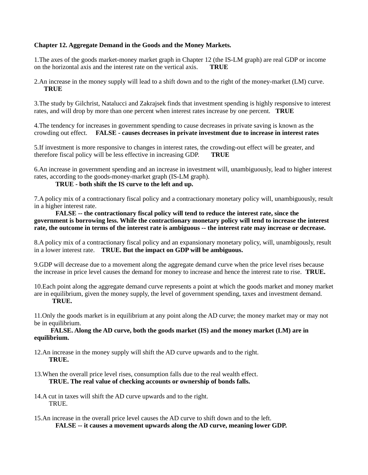# **Chapter 12. Aggregate Demand in the Goods and the Money Markets.**

1.The axes of the goods market-money market graph in Chapter 12 (the IS-LM graph) are real GDP or income on the horizontal axis and the interest rate on the vertical axis. **TRUE**

2.An increase in the money supply will lead to a shift down and to the right of the money-market (LM) curve.  **TRUE**

3.The study by Gilchrist, Natalucci and Zakrajsek finds that investment spending is highly responsive to interest rates, and will drop by more than one percent when interest rates increase by one percent. **TRUE**

4.The tendency for increases in government spending to cause decreases in private saving is known as the crowding out effect. **FALSE - causes decreases in private investment due to increase in interest rates**

5.If investment is more responsive to changes in interest rates, the crowding-out effect will be greater, and therefore fiscal policy will be less effective in increasing GDP. **TRUE**

6.An increase in government spending and an increase in investment will, unambiguously, lead to higher interest rates, according to the goods-money-market graph (IS-LM graph).

# **TRUE - both shift the IS curve to the left and up.**

7.A policy mix of a contractionary fiscal policy and a contractionary monetary policy will, unambiguously, result in a higher interest rate.

 **FALSE -- the contractionary fiscal policy will tend to reduce the interest rate, since the government is borrowing less. While the contractionary monetary policy will tend to increase the interest rate, the outcome in terms of the interest rate is ambiguous -- the interest rate may increase or decrease.**

8.A policy mix of a contractionary fiscal policy and an expansionary monetary policy, will, unambigously, result in a lower interest rate. **TRUE. But the impact on GDP will be ambiguous.**

9.GDP will decrease due to a movement along the aggregate demand curve when the price level rises because the increase in price level causes the demand for money to increase and hence the interest rate to rise. **TRUE.**

10.Each point along the aggregate demand curve represents a point at which the goods market and money market are in equilibrium, given the money supply, the level of government spending, taxes and investment demand.  **TRUE.**

11.Only the goods market is in equilibrium at any point along the AD curve; the money market may or may not be in equilibrium.

#### **FALSE. Along the AD curve, both the goods market (IS) and the money market (LM) are in equilibrium.**

12.An increase in the money supply will shift the AD curve upwards and to the right.  **TRUE.**

- 13.When the overall price level rises, consumption falls due to the real wealth effect.  **TRUE. The real value of checking accounts or ownership of bonds falls.**
- 14.A cut in taxes will shift the AD curve upwards and to the right. TRUE.
- 15.An increase in the overall price level causes the AD curve to shift down and to the left. **FALSE -- it causes a movement upwards along the AD curve, meaning lower GDP.**